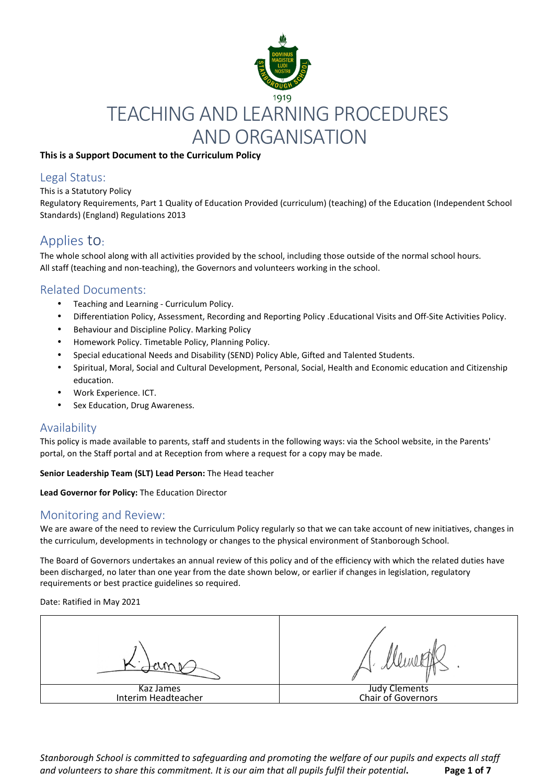

### **This is a Support Document to the Curriculum Policy**

### Legal Status:

#### This is a Statutory Policy

Regulatory Requirements, Part 1 Quality of Education Provided (curriculum) (teaching) of the Education (Independent School Standards) (England) Regulations 2013

## Applies to:

The whole school along with all activities provided by the school, including those outside of the normal school hours. All staff (teaching and non‐teaching), the Governors and volunteers working in the school.

## Related Documents:

- Teaching and Learning ‐ Curriculum Policy.
- Differentiation Policy, Assessment, Recording and Reporting Policy .Educational Visits and Off-Site Activities Policy.
- Behaviour and Discipline Policy. Marking Policy
- Homework Policy. Timetable Policy, Planning Policy.
- Special educational Needs and Disability (SEND) Policy Able, Gifted and Talented Students.
- Spiritual, Moral, Social and Cultural Development, Personal, Social, Health and Economic education and Citizenship education.
- Work Experience. ICT.
- Sex Education, Drug Awareness.

### Availability

This policy is made available to parents, staff and students in the following ways: via the School website, in the Parents' portal, on the Staff portal and at Reception from where a request for a copy may be made.

**Senior Leadership Team (SLT) Lead Person:** The Head teacher

**Lead Governor for Policy:** The Education Director

### Monitoring and Review:

We are aware of the need to review the Curriculum Policy regularly so that we can take account of new initiatives, changes in the curriculum, developments in technology or changes to the physical environment of Stanborough School.

The Board of Governors undertakes an annual review of this policy and of the efficiency with which the related duties have been discharged, no later than one year from the date shown below, or earlier if changes in legislation, regulatory requirements or best practice guidelines so required.

Date: Ratified in May 2021

Kaz James Interim Headteacher Judy Clements Chair of Governors

*Stanborough School is committed to safeguarding and promoting the welfare of our pupils and expects all staff and volunteers to share this commitment. It is our aim that all pupils fulfil their potential***. Page 1 of 7**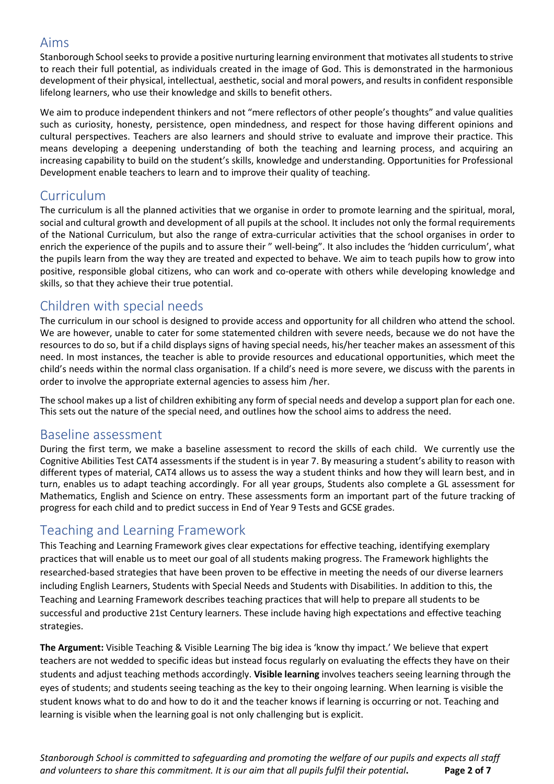## Aims

Stanborough School seeks to provide a positive nurturing learning environment that motivates all students to strive to reach their full potential, as individuals created in the image of God. This is demonstrated in the harmonious development of their physical, intellectual, aesthetic, social and moral powers, and results in confident responsible lifelong learners, who use their knowledge and skills to benefit others.

We aim to produce independent thinkers and not "mere reflectors of other people's thoughts" and value qualities such as curiosity, honesty, persistence, open mindedness, and respect for those having different opinions and cultural perspectives. Teachers are also learners and should strive to evaluate and improve their practice. This means developing a deepening understanding of both the teaching and learning process, and acquiring an increasing capability to build on the student's skills, knowledge and understanding. Opportunities for Professional Development enable teachers to learn and to improve their quality of teaching.

# Curriculum

The curriculum is all the planned activities that we organise in order to promote learning and the spiritual, moral, social and cultural growth and development of all pupils at the school. It includes not only the formal requirements of the National Curriculum, but also the range of extra‐curricular activities that the school organises in order to enrich the experience of the pupils and to assure their " well-being". It also includes the 'hidden curriculum', what the pupils learn from the way they are treated and expected to behave. We aim to teach pupils how to grow into positive, responsible global citizens, who can work and co-operate with others while developing knowledge and skills, so that they achieve their true potential.

# Children with special needs

The curriculum in our school is designed to provide access and opportunity for all children who attend the school. We are however, unable to cater for some statemented children with severe needs, because we do not have the resources to do so, but if a child displays signs of having special needs, his/her teacher makes an assessment of this need. In most instances, the teacher is able to provide resources and educational opportunities, which meet the child's needs within the normal class organisation. If a child's need is more severe, we discuss with the parents in order to involve the appropriate external agencies to assess him /her.

The school makes up a list of children exhibiting any form of special needs and develop a support plan for each one. This sets out the nature of the special need, and outlines how the school aims to address the need.

## Baseline assessment

During the first term, we make a baseline assessment to record the skills of each child. We currently use the Cognitive Abilities Test CAT4 assessments if the student is in year 7. By measuring a student's ability to reason with different types of material, CAT4 allows us to assess the way a student thinks and how they will learn best, and in turn, enables us to adapt teaching accordingly. For all year groups, Students also complete a GL assessment for Mathematics, English and Science on entry. These assessments form an important part of the future tracking of progress for each child and to predict success in End of Year 9 Tests and GCSE grades.

# Teaching and Learning Framework

This Teaching and Learning Framework gives clear expectations for effective teaching, identifying exemplary practices that will enable us to meet our goal of all students making progress. The Framework highlights the researched‐based strategies that have been proven to be effective in meeting the needs of our diverse learners including English Learners, Students with Special Needs and Students with Disabilities. In addition to this, the Teaching and Learning Framework describes teaching practices that will help to prepare all students to be successful and productive 21st Century learners. These include having high expectations and effective teaching strategies.

**The Argument:** Visible Teaching & Visible Learning The big idea is 'know thy impact.' We believe that expert teachers are not wedded to specific ideas but instead focus regularly on evaluating the effects they have on their students and adjust teaching methods accordingly. **Visible learning** involves teachers seeing learning through the eyes of students; and students seeing teaching as the key to their ongoing learning. When learning is visible the student knows what to do and how to do it and the teacher knows if learning is occurring or not. Teaching and learning is visible when the learning goal is not only challenging but is explicit.

*Stanborough School is committed to safeguarding and promoting the welfare of our pupils and expects all staff and volunteers to share this commitment. It is our aim that all pupils fulfil their potential***. Page 2 of 7**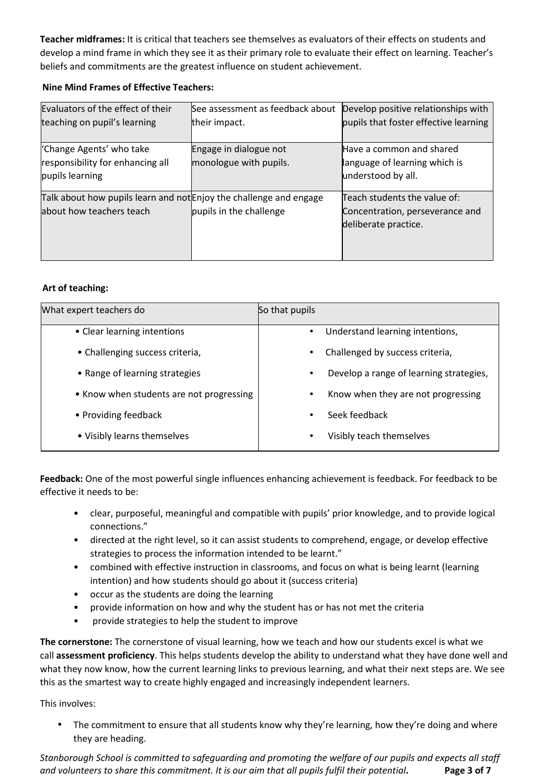**Teacher midframes:** It is critical that teachers see themselves as evaluators of their effects on students and develop a mind frame in which they see it as their primary role to evaluate their effect on learning. Teacher's beliefs and commitments are the greatest influence on student achievement.

### **Nine Mind Frames of Effective Teachers:**

| Evaluators of the effect of their                                  | See assessment as feedback about | Develop positive relationships with   |  |
|--------------------------------------------------------------------|----------------------------------|---------------------------------------|--|
| teaching on pupil's learning                                       | their impact.                    | pupils that foster effective learning |  |
|                                                                    |                                  |                                       |  |
| 'Change Agents' who take                                           | Engage in dialogue not           | Have a common and shared              |  |
| responsibility for enhancing all                                   | monologue with pupils.           | language of learning which is         |  |
| pupils learning                                                    |                                  | understood by all.                    |  |
| Talk about how pupils learn and not Enjoy the challenge and engage |                                  | Teach students the value of:          |  |
| about how teachers teach                                           | pupils in the challenge          | Concentration, perseverance and       |  |
|                                                                    |                                  | deliberate practice.                  |  |
|                                                                    |                                  |                                       |  |
|                                                                    |                                  |                                       |  |

### **Art of teaching:**

| What expert teachers do                  | So that pupils                          |  |
|------------------------------------------|-----------------------------------------|--|
| • Clear learning intentions              | Understand learning intentions,         |  |
| • Challenging success criteria,          | Challenged by success criteria,         |  |
| • Range of learning strategies           | Develop a range of learning strategies, |  |
| • Know when students are not progressing | Know when they are not progressing      |  |
| • Providing feedback                     | Seek feedback                           |  |
| • Visibly learns themselves              | Visibly teach themselves<br>$\bullet$   |  |

**Feedback:** One of the most powerful single influences enhancing achievement is feedback. For feedback to be effective it needs to be:

- clear, purposeful, meaningful and compatible with pupils' prior knowledge, and to provide logical connections."
- directed at the right level, so it can assist students to comprehend, engage, or develop effective strategies to process the information intended to be learnt."
- combined with effective instruction in classrooms, and focus on what is being learnt (learning intention) and how students should go about it (success criteria)
- occur as the students are doing the learning
- provide information on how and why the student has or has not met the criteria
- provide strategies to help the student to improve

**The cornerstone:** The cornerstone of visual learning, how we teach and how our students excel is what we call **assessment proficiency**. This helps students develop the ability to understand what they have done well and what they now know, how the current learning links to previous learning, and what their next steps are. We see this as the smartest way to create highly engaged and increasingly independent learners.

This involves:

• The commitment to ensure that all students know why they're learning, how they're doing and where they are heading.

*Stanborough School is committed to safeguarding and promoting the welfare of our pupils and expects all staff and volunteers to share this commitment. It is our aim that all pupils fulfil their potential***. Page 3 of 7**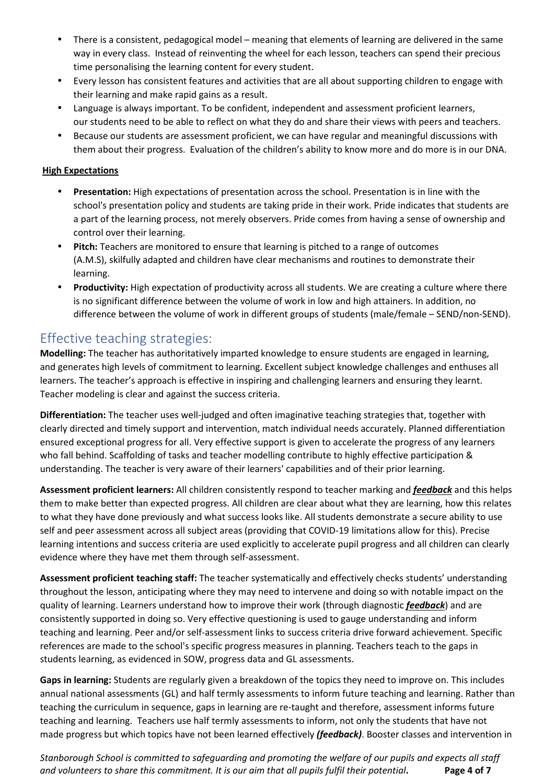- There is a consistent, pedagogical model meaning that elements of learning are delivered in the same way in every class. Instead of reinventing the wheel for each lesson, teachers can spend their precious time personalising the learning content for every student.
- Every lesson has consistent features and activities that are all about supporting children to engage with their learning and make rapid gains as a result.
- Language is always important. To be confident, independent and assessment proficient learners, our students need to be able to reflect on what they do and share their views with peers and teachers.
- Because our students are assessment proficient, we can have regular and meaningful discussions with them about their progress. Evaluation of the children's ability to know more and do more is in our DNA.

### **High Expectations**

- **Presentation:** High expectations of presentation across the school. Presentation is in line with the school's presentation policy and students are taking pride in their work. Pride indicates that students are a part of the learning process, not merely observers. Pride comes from having a sense of ownership and control over their learning.
- **Pitch:** Teachers are monitored to ensure that learning is pitched to a range of outcomes (A.M.S), skilfully adapted and children have clear mechanisms and routines to demonstrate their learning.
- **Productivity:** High expectation of productivity across all students. We are creating a culture where there is no significant difference between the volume of work in low and high attainers. In addition, no difference between the volume of work in different groups of students (male/female – SEND/non‐SEND).

# Effective teaching strategies:

**Modelling:** The teacher has authoritatively imparted knowledge to ensure students are engaged in learning, and generates high levels of commitment to learning. Excellent subject knowledge challenges and enthuses all learners. The teacher's approach is effective in inspiring and challenging learners and ensuring they learnt. Teacher modeling is clear and against the success criteria.

**Differentiation:** The teacher uses well‐judged and often imaginative teaching strategies that, together with clearly directed and timely support and intervention, match individual needs accurately. Planned differentiation ensured exceptional progress for all. Very effective support is given to accelerate the progress of any learners who fall behind. Scaffolding of tasks and teacher modelling contribute to highly effective participation & understanding. The teacher is very aware of their learners' capabilities and of their prior learning.

**Assessment proficient learners:** All children consistently respond to teacher marking and *feedback* and this helps them to make better than expected progress. All children are clear about what they are learning, how this relates to what they have done previously and what success looks like. All students demonstrate a secure ability to use self and peer assessment across all subject areas (providing that COVID‐19 limitations allow for this). Precise learning intentions and success criteria are used explicitly to accelerate pupil progress and all children can clearly evidence where they have met them through self‐assessment.

**Assessment proficient teaching staff:** The teacher systematically and effectively checks students' understanding throughout the lesson, anticipating where they may need to intervene and doing so with notable impact on the quality of learning. Learners understand how to improve their work (through diagnostic *feedback*) and are consistently supported in doing so. Very effective questioning is used to gauge understanding and inform teaching and learning. Peer and/or self‐assessment links to success criteria drive forward achievement. Specific references are made to the school's specific progress measures in planning. Teachers teach to the gaps in students learning, as evidenced in SOW, progress data and GL assessments.

**Gaps in learning:** Students are regularly given a breakdown of the topics they need to improve on. This includes annual national assessments (GL) and half termly assessments to inform future teaching and learning. Rather than teaching the curriculum in sequence, gaps in learning are re-taught and therefore, assessment informs future teaching and learning. Teachers use half termly assessments to inform, not only the students that have not made progress but which topics have not been learned effectively *(feedback)*. Booster classes and intervention in

*Stanborough School is committed to safeguarding and promoting the welfare of our pupils and expects all staff and volunteers to share this commitment. It is our aim that all pupils fulfil their potential***. Page 4 of 7**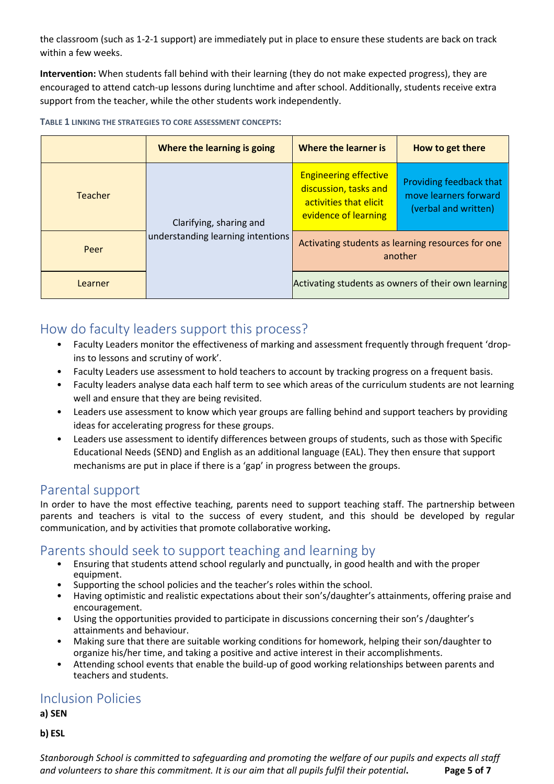the classroom (such as 1‐2‐1 support) are immediately put in place to ensure these students are back on track within a few weeks.

**Intervention:** When students fall behind with their learning (they do not make expected progress), they are encouraged to attend catch-up lessons during lunchtime and after school. Additionally, students receive extra support from the teacher, while the other students work independently.

| TABLE 1 LINKING THE STRATEGIES TO CORE ASSESSMENT CONCEPTS: |
|-------------------------------------------------------------|
|-------------------------------------------------------------|

|                | Where the learning is going                                  | Where the learner is                                                                                    | How to get there                                                         |
|----------------|--------------------------------------------------------------|---------------------------------------------------------------------------------------------------------|--------------------------------------------------------------------------|
| <b>Teacher</b> | Clarifying, sharing and<br>understanding learning intentions | <b>Engineering effective</b><br>discussion, tasks and<br>activities that elicit<br>evidence of learning | Providing feedback that<br>move learners forward<br>(verbal and written) |
| Peer           |                                                              | Activating students as learning resources for one<br>another                                            |                                                                          |
| Learner        |                                                              | Activating students as owners of their own learning                                                     |                                                                          |

# How do faculty leaders support this process?

- Faculty Leaders monitor the effectiveness of marking and assessment frequently through frequent 'dropins to lessons and scrutiny of work'.
- Faculty Leaders use assessment to hold teachers to account by tracking progress on a frequent basis.
- Faculty leaders analyse data each half term to see which areas of the curriculum students are not learning well and ensure that they are being revisited.
- Leaders use assessment to know which year groups are falling behind and support teachers by providing ideas for accelerating progress for these groups.
- Leaders use assessment to identify differences between groups of students, such as those with Specific Educational Needs (SEND) and English as an additional language (EAL). They then ensure that support mechanisms are put in place if there is a 'gap' in progress between the groups.

## Parental support

In order to have the most effective teaching, parents need to support teaching staff. The partnership between parents and teachers is vital to the success of every student, and this should be developed by regular communication, and by activities that promote collaborative working**.** 

## Parents should seek to support teaching and learning by

- Ensuring that students attend school regularly and punctually, in good health and with the proper equipment.
- Supporting the school policies and the teacher's roles within the school.
- Having optimistic and realistic expectations about their son's/daughter's attainments, offering praise and encouragement.
- Using the opportunities provided to participate in discussions concerning their son's /daughter's attainments and behaviour.
- Making sure that there are suitable working conditions for homework, helping their son/daughter to organize his/her time, and taking a positive and active interest in their accomplishments.
- Attending school events that enable the build-up of good working relationships between parents and teachers and students.

## Inclusion Policies

**a) SEN** 

**b) ESL** 

*Stanborough School is committed to safeguarding and promoting the welfare of our pupils and expects all staff and volunteers to share this commitment. It is our aim that all pupils fulfil their potential***. Page 5 of 7**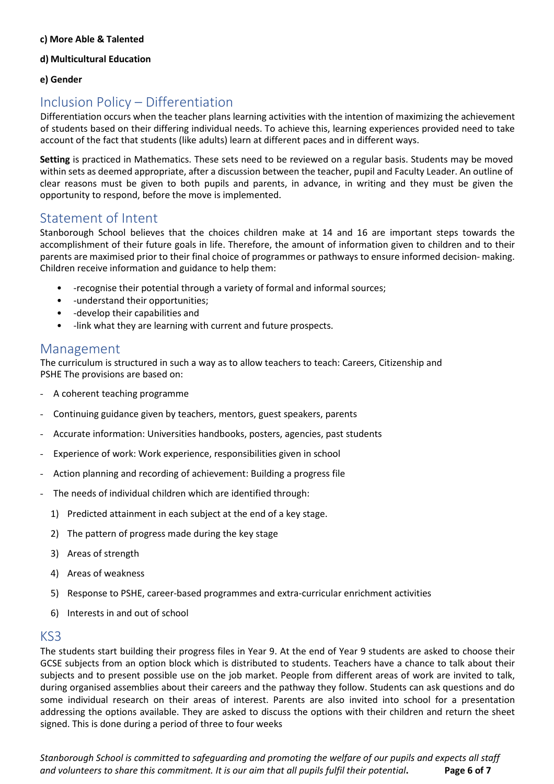#### **c) More Able & Talented**

#### **d) Multicultural Education**

### **e) Gender**

# Inclusion Policy – Differentiation

Differentiation occurs when the teacher plans learning activities with the intention of maximizing the achievement of students based on their differing individual needs. To achieve this, learning experiences provided need to take account of the fact that students (like adults) learn at different paces and in different ways.

**Setting** is practiced in Mathematics. These sets need to be reviewed on a regular basis. Students may be moved within sets as deemed appropriate, after a discussion between the teacher, pupil and Faculty Leader. An outline of clear reasons must be given to both pupils and parents, in advance, in writing and they must be given the opportunity to respond, before the move is implemented.

## Statement of Intent

Stanborough School believes that the choices children make at 14 and 16 are important steps towards the accomplishment of their future goals in life. Therefore, the amount of information given to children and to their parents are maximised prior to their final choice of programmes or pathways to ensure informed decision-making. Children receive information and guidance to help them:

- ‐recognise their potential through a variety of formal and informal sources;
- ‐understand their opportunities;
- ‐develop their capabilities and
- -link what they are learning with current and future prospects.

## Management

The curriculum is structured in such a way as to allow teachers to teach: Careers, Citizenship and PSHE The provisions are based on:

- A coherent teaching programme
- Continuing guidance given by teachers, mentors, guest speakers, parents
- Accurate information: Universities handbooks, posters, agencies, past students
- Experience of work: Work experience, responsibilities given in school
- Action planning and recording of achievement: Building a progress file
- The needs of individual children which are identified through:
	- 1) Predicted attainment in each subject at the end of a key stage.
	- 2) The pattern of progress made during the key stage
	- 3) Areas of strength
	- 4) Areas of weakness
	- 5) Response to PSHE, career-based programmes and extra-curricular enrichment activities
	- 6) Interests in and out of school

## KS3

The students start building their progress files in Year 9. At the end of Year 9 students are asked to choose their GCSE subjects from an option block which is distributed to students. Teachers have a chance to talk about their subjects and to present possible use on the job market. People from different areas of work are invited to talk, during organised assemblies about their careers and the pathway they follow. Students can ask questions and do some individual research on their areas of interest. Parents are also invited into school for a presentation addressing the options available. They are asked to discuss the options with their children and return the sheet signed. This is done during a period of three to four weeks

*Stanborough School is committed to safeguarding and promoting the welfare of our pupils and expects all staff and volunteers to share this commitment. It is our aim that all pupils fulfil their potential***. Page 6 of 7**